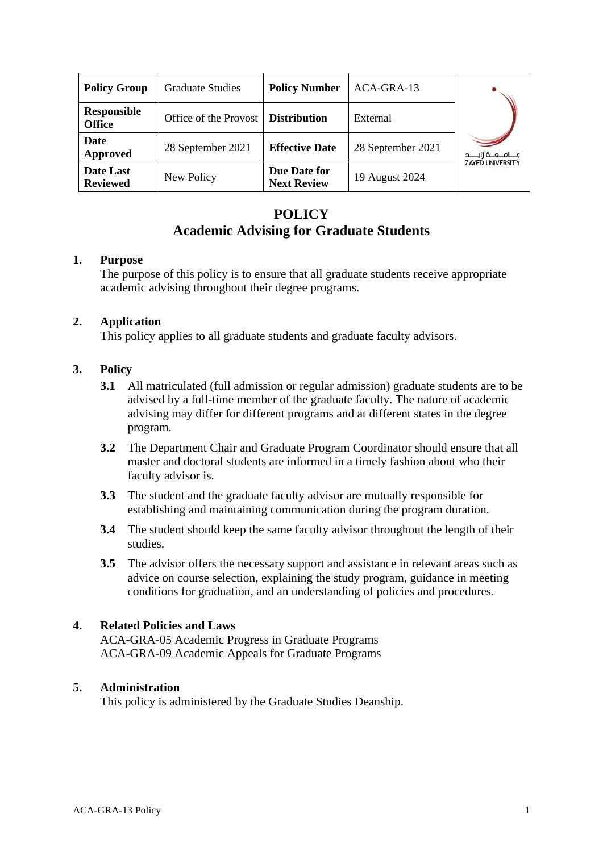| <b>Policy Group</b>                 | <b>Graduate Studies</b> | <b>Policy Number</b>               | ACA-GRA-13        |                         |
|-------------------------------------|-------------------------|------------------------------------|-------------------|-------------------------|
| <b>Responsible</b><br><b>Office</b> | Office of the Provost   | <b>Distribution</b>                | External          |                         |
| <b>Date</b><br>Approved             | 28 September 2021       | <b>Effective Date</b>              | 28 September 2021 | جـــامــعــة زايــــد   |
| Date Last<br><b>Reviewed</b>        | New Policy              | Due Date for<br><b>Next Review</b> | 19 August 2024    | <b>ZAYED UNIVERSITY</b> |

# **POLICY Academic Advising for Graduate Students**

#### **1. Purpose**

The purpose of this policy is to ensure that all graduate students receive appropriate academic advising throughout their degree programs.

### **2. Application**

This policy applies to all graduate students and graduate faculty advisors.

## **3. Policy**

- **3.1** All matriculated (full admission or regular admission) graduate students are to be advised by a full-time member of the graduate faculty. The nature of academic advising may differ for different programs and at different states in the degree program.
- **3.2** The Department Chair and Graduate Program Coordinator should ensure that all master and doctoral students are informed in a timely fashion about who their faculty advisor is.
- **3.3** The student and the graduate faculty advisor are mutually responsible for establishing and maintaining communication during the program duration.
- **3.4** The student should keep the same faculty advisor throughout the length of their studies.
- **3.5** The advisor offers the necessary support and assistance in relevant areas such as advice on course selection, explaining the study program, guidance in meeting conditions for graduation, and an understanding of policies and procedures.

## **4. Related Policies and Laws**

ACA-GRA-05 Academic Progress in Graduate Programs ACA-GRA-09 Academic Appeals for Graduate Programs

#### **5. Administration**

This policy is administered by the Graduate Studies Deanship.